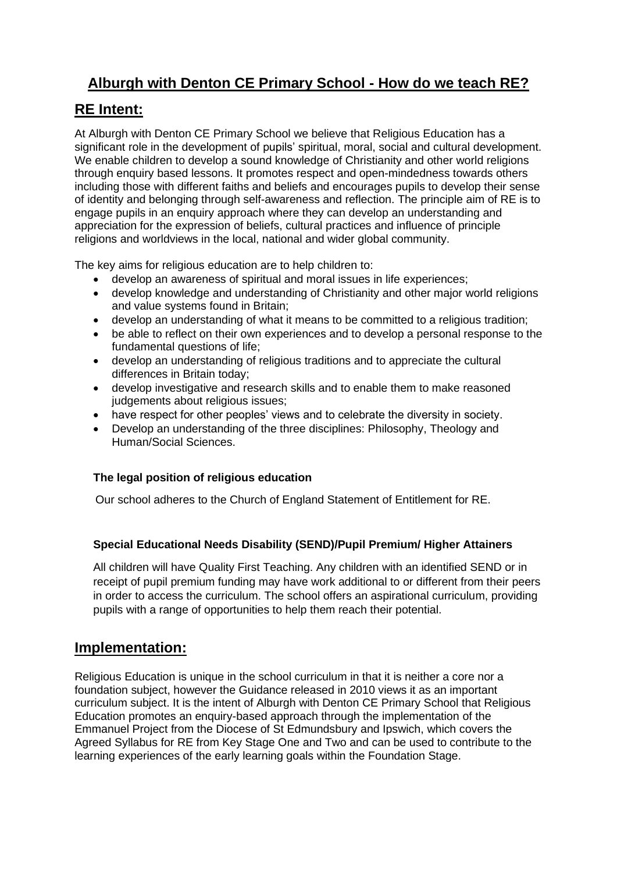# **Alburgh with Denton CE Primary School - How do we teach RE?**

# **RE Intent:**

At Alburgh with Denton CE Primary School we believe that Religious Education has a significant role in the development of pupils' spiritual, moral, social and cultural development. We enable children to develop a sound knowledge of Christianity and other world religions through enquiry based lessons. It promotes respect and open-mindedness towards others including those with different faiths and beliefs and encourages pupils to develop their sense of identity and belonging through self-awareness and reflection. The principle aim of RE is to engage pupils in an enquiry approach where they can develop an understanding and appreciation for the expression of beliefs, cultural practices and influence of principle religions and worldviews in the local, national and wider global community.

The key aims for religious education are to help children to:

- develop an awareness of spiritual and moral issues in life experiences;
- develop knowledge and understanding of Christianity and other major world religions and value systems found in Britain;
- develop an understanding of what it means to be committed to a religious tradition;
- be able to reflect on their own experiences and to develop a personal response to the fundamental questions of life;
- develop an understanding of religious traditions and to appreciate the cultural differences in Britain today;
- develop investigative and research skills and to enable them to make reasoned judgements about religious issues;
- have respect for other peoples' views and to celebrate the diversity in society.
- Develop an understanding of the three disciplines: Philosophy, Theology and Human/Social Sciences.

#### **The legal position of religious education**

Our school adheres to the Church of England Statement of Entitlement for RE.

#### **Special Educational Needs Disability (SEND)/Pupil Premium/ Higher Attainers**

All children will have Quality First Teaching. Any children with an identified SEND or in receipt of pupil premium funding may have work additional to or different from their peers in order to access the curriculum. The school offers an aspirational curriculum, providing pupils with a range of opportunities to help them reach their potential.

## **Implementation:**

Religious Education is unique in the school curriculum in that it is neither a core nor a foundation subject, however the Guidance released in 2010 views it as an important curriculum subject. It is the intent of Alburgh with Denton CE Primary School that Religious Education promotes an enquiry-based approach through the implementation of the Emmanuel Project from the Diocese of St Edmundsbury and Ipswich, which covers the Agreed Syllabus for RE from Key Stage One and Two and can be used to contribute to the learning experiences of the early learning goals within the Foundation Stage.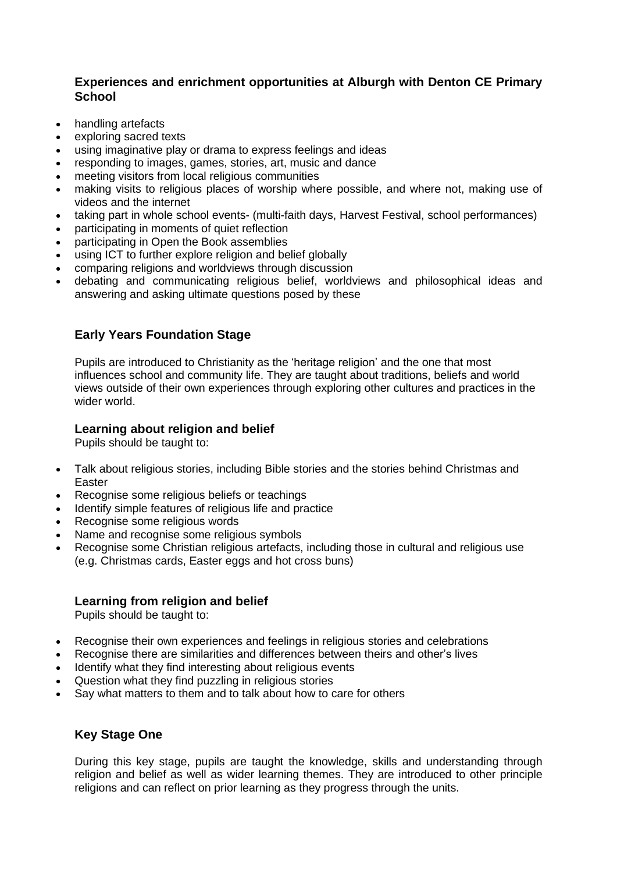#### **Experiences and enrichment opportunities at Alburgh with Denton CE Primary School**

- handling artefacts
- exploring sacred texts
- using imaginative play or drama to express feelings and ideas
- responding to images, games, stories, art, music and dance
- meeting visitors from local religious communities
- making visits to religious places of worship where possible, and where not, making use of videos and the internet
- taking part in whole school events- (multi-faith days, Harvest Festival, school performances)
- participating in moments of quiet reflection
- participating in Open the Book assemblies
- using ICT to further explore religion and belief globally
- comparing religions and worldviews through discussion
- debating and communicating religious belief, worldviews and philosophical ideas and answering and asking ultimate questions posed by these

### **Early Years Foundation Stage**

Pupils are introduced to Christianity as the 'heritage religion' and the one that most influences school and community life. They are taught about traditions, beliefs and world views outside of their own experiences through exploring other cultures and practices in the wider world.

#### **Learning about religion and belief**

Pupils should be taught to:

- Talk about religious stories, including Bible stories and the stories behind Christmas and Easter
- Recognise some religious beliefs or teachings
- Identify simple features of religious life and practice
- Recognise some religious words
- Name and recognise some religious symbols
- Recognise some Christian religious artefacts, including those in cultural and religious use (e.g. Christmas cards, Easter eggs and hot cross buns)

#### **Learning from religion and belief**

Pupils should be taught to:

- Recognise their own experiences and feelings in religious stories and celebrations
- Recognise there are similarities and differences between theirs and other's lives
- Identify what they find interesting about religious events
- Question what they find puzzling in religious stories
- Say what matters to them and to talk about how to care for others

#### **Key Stage One**

During this key stage, pupils are taught the knowledge, skills and understanding through religion and belief as well as wider learning themes. They are introduced to other principle religions and can reflect on prior learning as they progress through the units.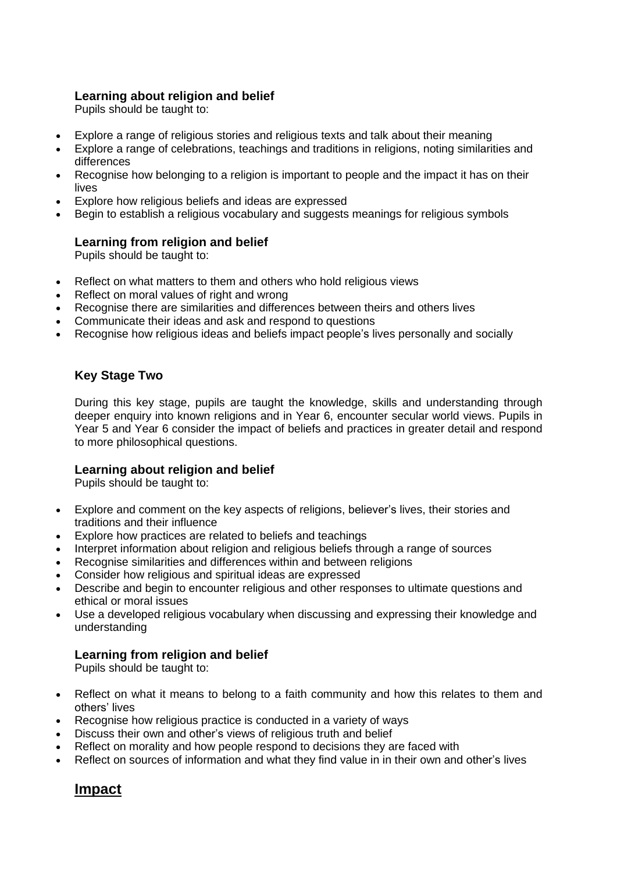### **Learning about religion and belief**

Pupils should be taught to:

- Explore a range of religious stories and religious texts and talk about their meaning
- Explore a range of celebrations, teachings and traditions in religions, noting similarities and differences
- Recognise how belonging to a religion is important to people and the impact it has on their lives
- Explore how religious beliefs and ideas are expressed
- Begin to establish a religious vocabulary and suggests meanings for religious symbols

#### **Learning from religion and belief**

Pupils should be taught to:

- Reflect on what matters to them and others who hold religious views
- Reflect on moral values of right and wrong
- Recognise there are similarities and differences between theirs and others lives
- Communicate their ideas and ask and respond to questions
- Recognise how religious ideas and beliefs impact people's lives personally and socially

#### **Key Stage Two**

During this key stage, pupils are taught the knowledge, skills and understanding through deeper enquiry into known religions and in Year 6, encounter secular world views. Pupils in Year 5 and Year 6 consider the impact of beliefs and practices in greater detail and respond to more philosophical questions.

#### **Learning about religion and belief**

Pupils should be taught to:

- Explore and comment on the key aspects of religions, believer's lives, their stories and traditions and their influence
- Explore how practices are related to beliefs and teachings
- Interpret information about religion and religious beliefs through a range of sources
- Recognise similarities and differences within and between religions
- Consider how religious and spiritual ideas are expressed
- Describe and begin to encounter religious and other responses to ultimate questions and ethical or moral issues
- Use a developed religious vocabulary when discussing and expressing their knowledge and understanding

#### **Learning from religion and belief**

Pupils should be taught to:

- Reflect on what it means to belong to a faith community and how this relates to them and others' lives
- Recognise how religious practice is conducted in a variety of ways
- Discuss their own and other's views of religious truth and belief
- Reflect on morality and how people respond to decisions they are faced with
- Reflect on sources of information and what they find value in in their own and other's lives

## **Impact**